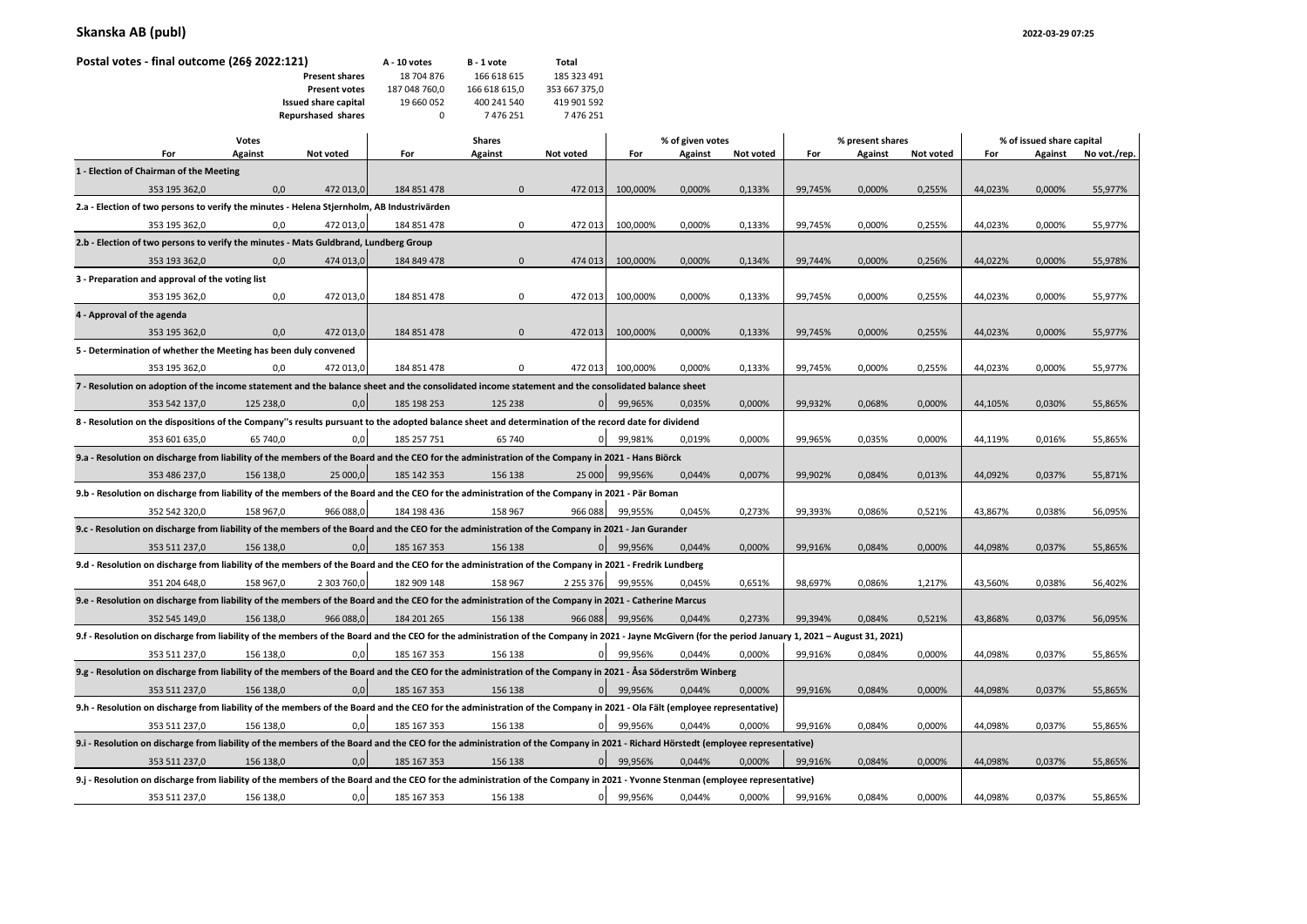| Postal votes - final outcome (26§ 2022:121)                                                | A - 10 votes | B - 1 vote           | Total         |               |               |                  |         |           |                  |         |           |                           |         |              |
|--------------------------------------------------------------------------------------------|--------------|----------------------|---------------|---------------|---------------|------------------|---------|-----------|------------------|---------|-----------|---------------------------|---------|--------------|
| <b>Present shares</b>                                                                      |              |                      | 18 704 876    | 166 618 615   | 185 323 491   |                  |         |           |                  |         |           |                           |         |              |
|                                                                                            |              | <b>Present votes</b> | 187 048 760,0 | 166 618 615,0 | 353 667 375,0 |                  |         |           |                  |         |           |                           |         |              |
|                                                                                            |              | Issued share capital | 19 660 052    | 400 241 540   | 419 901 592   |                  |         |           |                  |         |           |                           |         |              |
|                                                                                            |              |                      | $\Omega$      | 7476251       | 7476251       |                  |         |           |                  |         |           |                           |         |              |
|                                                                                            |              | Repurshased shares   |               |               |               |                  |         |           |                  |         |           |                           |         |              |
| <b>Votes</b>                                                                               |              |                      |               | <b>Shares</b> |               | % of given votes |         |           | % present shares |         |           | % of issued share capital |         |              |
| For                                                                                        | Against      | Not voted            | For           | Against       | Not voted     | For              | Against | Not voted | For              | Against | Not voted | For                       | Against | No vot./rep. |
| 1 - Election of Chairman of the Meeting                                                    |              |                      |               |               |               |                  |         |           |                  |         |           |                           |         |              |
| 353 195 362,0                                                                              | 0,0          | 472 013,0            | 184 851 478   | $\Omega$      | 472 013       | 100,000%         | 0,000%  | 0,133%    | 99,745%          | 0,000%  | 0,255%    | 44,023%                   | 0,000%  | 55,977%      |
| 2.a - Election of two persons to verify the minutes - Helena Stjernholm, AB Industrivärden |              |                      |               |               |               |                  |         |           |                  |         |           |                           |         |              |
| 353 195 362,0                                                                              | 0,0          | 472 013,0            | 184 851 478   | 0             | 472 013       | 100,000%         | 0,000%  | 0,133%    | 99,745%          | 0,000%  | 0,255%    | 44,023%                   | 0,000%  | 55,977%      |
| 2.b - Election of two persons to verify the minutes - Mats Guldbrand, Lundberg Group       |              |                      |               |               |               |                  |         |           |                  |         |           |                           |         |              |
| 353 193 362,0                                                                              | 0,0          | 474 013,0            | 184 849 478   | $\mathbf{0}$  | 474 013       | 100,000%         | 0,000%  | 0,134%    | 99,744%          | 0,000%  | 0,256%    | 44,022%                   | 0,000%  | 55,978%      |
| 3 - Preparation and approval of the voting list                                            |              |                      |               |               |               |                  |         |           |                  |         |           |                           |         |              |
| 353 195 362,0                                                                              | 0,0          | 472 013,0            | 184 851 478   | $\Omega$      | 472 013       | 100,000%         | 0,000%  | 0,133%    | 99,745%          | 0,000%  | 0,255%    | 44,023%                   | 0,000%  | 55,977%      |
| 4 - Approval of the agenda                                                                 |              |                      |               |               |               |                  |         |           |                  |         |           |                           |         |              |
|                                                                                            |              |                      |               |               |               |                  |         |           |                  |         |           |                           |         |              |

|                                                                                                                                                                               | 353 195 362,0                                                   | 0,0       | 472 013,0   | 184 851 478                                                                                                                                                                                            | 0            | 472 013        | 100,000% | 0,000% | 0,133% | 99,745% | 0,000% | 0,255% | 44,023% | 0,000% | 55,977% |
|-------------------------------------------------------------------------------------------------------------------------------------------------------------------------------|-----------------------------------------------------------------|-----------|-------------|--------------------------------------------------------------------------------------------------------------------------------------------------------------------------------------------------------|--------------|----------------|----------|--------|--------|---------|--------|--------|---------|--------|---------|
|                                                                                                                                                                               | 4 - Approval of the agenda                                      |           |             |                                                                                                                                                                                                        |              |                |          |        |        |         |        |        |         |        |         |
|                                                                                                                                                                               | 353 195 362,0                                                   | 0,0       | 472 013,0   | 184 851 478                                                                                                                                                                                            | $\mathbf{0}$ | 472 013        | 100,000% | 0,000% | 0,133% | 99,745% | 0,000% | 0,255% | 44,023% | 0,000% | 55,977% |
|                                                                                                                                                                               | 5 - Determination of whether the Meeting has been duly convened |           |             |                                                                                                                                                                                                        |              |                |          |        |        |         |        |        |         |        |         |
|                                                                                                                                                                               | 353 195 362,0                                                   | 0,0       | 472 013.0   | 184 851 478                                                                                                                                                                                            | 0            | 472 013        | 100.000% | 0.000% | 0.133% | 99,745% | 0,000% | 0,255% | 44,023% | 0,000% | 55,977% |
|                                                                                                                                                                               |                                                                 |           |             | 7 - Resolution on adoption of the income statement and the balance sheet and the consolidated income statement and the consolidated balance sheet                                                      |              |                |          |        |        |         |        |        |         |        |         |
|                                                                                                                                                                               | 353 542 137,0                                                   | 125 238,0 | 0,0         | 185 198 253                                                                                                                                                                                            | 125 238      | $\overline{0}$ | 99,965%  | 0,035% | 0,000% | 99,932% | 0,068% | 0,000% | 44,105% | 0,030% | 55,865% |
|                                                                                                                                                                               |                                                                 |           |             | 8 - Resolution on the dispositions of the Company"s results pursuant to the adopted balance sheet and determination of the record date for dividend                                                    |              |                |          |        |        |         |        |        |         |        |         |
|                                                                                                                                                                               | 353 601 635,0                                                   | 65 740,0  | 0,0         | 185 257 751                                                                                                                                                                                            | 65 740       | $\overline{0}$ | 99,981%  | 0,019% | 0,000% | 99,965% | 0,035% | 0,000% | 44,119% | 0,016% | 55,865% |
|                                                                                                                                                                               |                                                                 |           |             | 9.a - Resolution on discharge from liability of the members of the Board and the CEO for the administration of the Company in 2021 - Hans Biörck                                                       |              |                |          |        |        |         |        |        |         |        |         |
|                                                                                                                                                                               | 353 486 237,0                                                   | 156 138,0 | 25 000,0    | 185 142 353                                                                                                                                                                                            | 156 138      | 25 000         | 99,956%  | 0.044% | 0,007% | 99,902% | 0,084% | 0,013% | 44,092% | 0,037% | 55,871% |
|                                                                                                                                                                               |                                                                 |           |             | 9.b - Resolution on discharge from liability of the members of the Board and the CEO for the administration of the Company in 2021 - Pär Boman                                                         |              |                |          |        |        |         |        |        |         |        |         |
|                                                                                                                                                                               | 352 542 320,0                                                   | 158 967,0 | 966 088,0   | 184 198 436                                                                                                                                                                                            | 158 967      | 966 088        | 99,955%  | 0,045% | 0,273% | 99,393% | 0,086% | 0,521% | 43,867% | 0,038% | 56,095% |
|                                                                                                                                                                               |                                                                 |           |             | 9.c - Resolution on discharge from liability of the members of the Board and the CEO for the administration of the Company in 2021 - Jan Gurander                                                      |              |                |          |        |        |         |        |        |         |        |         |
|                                                                                                                                                                               | 353 511 237,0                                                   | 156 138,0 | 0,0         | 185 167 353                                                                                                                                                                                            | 156 138      | $\overline{0}$ | 99,956%  | 0.044% | 0,000% | 99,916% | 0,084% | 0,000% | 44,098% | 0,037% | 55,865% |
|                                                                                                                                                                               |                                                                 |           |             | 9.d - Resolution on discharge from liability of the members of the Board and the CEO for the administration of the Company in 2021 - Fredrik Lundberg                                                  |              |                |          |        |        |         |        |        |         |        |         |
|                                                                                                                                                                               | 351 204 648,0                                                   | 158 967,0 | 2 303 760,0 | 182 909 148                                                                                                                                                                                            | 158 967      | 2 2 5 3 3 7 6  | 99,955%  | 0.045% | 0,651% | 98,697% | 0,086% | 1,217% | 43,560% | 0,038% | 56,402% |
|                                                                                                                                                                               |                                                                 |           |             | 9.e - Resolution on discharge from liability of the members of the Board and the CEO for the administration of the Company in 2021 - Catherine Marcus                                                  |              |                |          |        |        |         |        |        |         |        |         |
|                                                                                                                                                                               | 352 545 149,0                                                   | 156 138.0 | 966 088,0   | 184 201 265                                                                                                                                                                                            | 156 138      | 966 088        | 99.956%  | 0.044% | 0.273% | 99,394% | 0,084% | 0,521% | 43,868% | 0,037% | 56,095% |
|                                                                                                                                                                               |                                                                 |           |             | 9.f - Resolution on discharge from liability of the members of the Board and the CEO for the administration of the Company in 2021 - Jayne McGivern (for the period January 1, 2021 - August 31, 2021) |              |                |          |        |        |         |        |        |         |        |         |
|                                                                                                                                                                               | 353 511 237,0                                                   | 156 138,0 | 0,0         | 185 167 353                                                                                                                                                                                            | 156 138      | $\overline{0}$ | 99,956%  | 0.044% | 0,000% | 99,916% | 0,084% | 0,000% | 44,098% | 0,037% | 55,865% |
|                                                                                                                                                                               |                                                                 |           |             | 9.g - Resolution on discharge from liability of the members of the Board and the CEO for the administration of the Company in 2021 - Åsa Söderström Winberg                                            |              |                |          |        |        |         |        |        |         |        |         |
|                                                                                                                                                                               | 353 511 237,0                                                   | 156 138.0 | 0,0         | 185 167 353                                                                                                                                                                                            | 156 138      | $\Omega$       | 99,956%  | 0,044% | 0,000% | 99.916% | 0,084% | 0,000% | 44,098% | 0,037% | 55,865% |
|                                                                                                                                                                               |                                                                 |           |             | 9.h - Resolution on discharge from liability of the members of the Board and the CEO for the administration of the Company in 2021 - Ola Fält (employee representative)                                |              |                |          |        |        |         |        |        |         |        |         |
|                                                                                                                                                                               | 353 511 237,0                                                   | 156 138.0 | 0,0         | 185 167 353                                                                                                                                                                                            | 156 138      | $\overline{0}$ | 99,956%  | 0.044% | 0.000% | 99.916% | 0,084% | 0,000% | 44,098% | 0,037% | 55,865% |
|                                                                                                                                                                               |                                                                 |           |             | 9.i - Resolution on discharge from liability of the members of the Board and the CEO for the administration of the Company in 2021 - Richard Hörstedt (employee representative)                        |              |                |          |        |        |         |        |        |         |        |         |
|                                                                                                                                                                               | 353 511 237,0                                                   | 156 138,0 | 0,0         | 185 167 353                                                                                                                                                                                            | 156 138      | $\Omega$       | 99,956%  | 0.044% | 0,000% | 99,916% | 0,084% | 0,000% | 44,098% | 0,037% | 55,865% |
| 9.j - Resolution on discharge from liability of the members of the Board and the CEO for the administration of the Company in 2021 - Yvonne Stenman (employee representative) |                                                                 |           |             |                                                                                                                                                                                                        |              |                |          |        |        |         |        |        |         |        |         |

353 511 237,0 156 138,0 0,0 185 167 353 156 138 0 99,956% 0,044% 0,000% 99,916% 0,084% 0,000% 44,098% 0,037% 55,865%